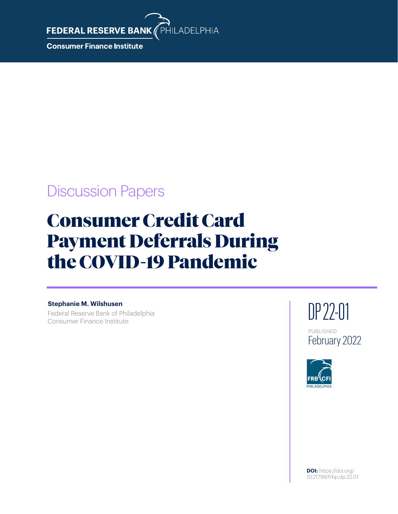**FEDERAL RESERVE BANK** 

**Consumer Finance Institute** 

## Discussion Papers

# Consumer Credit Card Payment Deferrals During the COVID-19 Pandemic

PHILADELPHIA

#### **Stephanie M. Wilshusen**

Federal Reserve Bank of Philadelphia Consumer Finance Institute



PUBLISHED February 2022

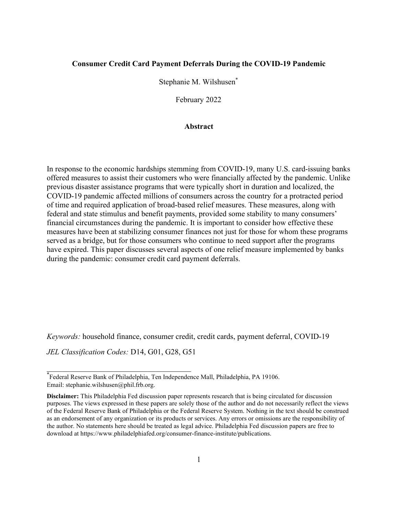#### **Consumer Credit Card Payment Deferrals During the COVID-19 Pandemic**

Stephanie M. Wilshusen\*

February 2022

#### **Abstract**

In response to the economic hardships stemming from COVID-19, many U.S. card-issuing banks offered measures to assist their customers who were financially affected by the pandemic. Unlike previous disaster assistance programs that were typically short in duration and localized, the COVID-19 pandemic affected millions of consumers across the country for a protracted period of time and required application of broad-based relief measures. These measures, along with federal and state stimulus and benefit payments, provided some stability to many consumers' financial circumstances during the pandemic. It is important to consider how effective these measures have been at stabilizing consumer finances not just for those for whom these programs served as a bridge, but for those consumers who continue to need support after the programs have expired. This paper discusses several aspects of one relief measure implemented by banks during the pandemic: consumer credit card payment deferrals.

*Keywords:* household finance, consumer credit, credit cards, payment deferral, COVID-19

*JEL Classification Codes:* D14, G01, G28, G51

\_\_\_\_\_\_\_\_\_\_\_\_\_\_\_\_\_\_\_\_\_\_\_\_\_\_\_\_\_\_\_\_\_\_\_\_\_

<sup>\*</sup> Federal Reserve Bank of Philadelphia, Ten Independence Mall, Philadelphia, PA 19106. Email: stephanie.wilshusen@phil.frb.org.

**Disclaimer:** This Philadelphia Fed discussion paper represents research that is being circulated for discussion purposes. The views expressed in these papers are solely those of the author and do not necessarily reflect the views of the Federal Reserve Bank of Philadelphia or the Federal Reserve System. Nothing in the text should be construed as an endorsement of any organization or its products or services. Any errors or omissions are the responsibility of the author. No statements here should be treated as legal advice. Philadelphia Fed discussion papers are free to download at https://www.philadelphiafed.org/consumer-finance-institute/publications.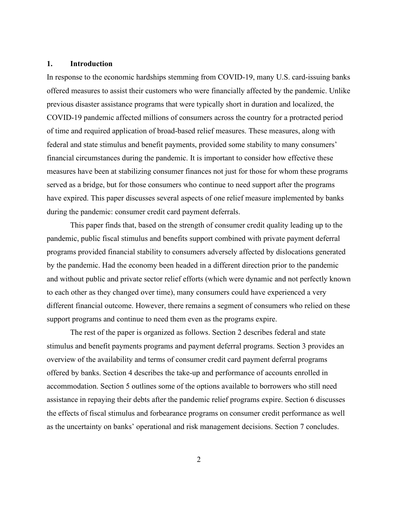#### **1. Introduction**

In response to the economic hardships stemming from COVID-19, many U.S. card-issuing banks offered measures to assist their customers who were financially affected by the pandemic. Unlike previous disaster assistance programs that were typically short in duration and localized, the COVID-19 pandemic affected millions of consumers across the country for a protracted period of time and required application of broad-based relief measures. These measures, along with federal and state stimulus and benefit payments, provided some stability to many consumers' financial circumstances during the pandemic. It is important to consider how effective these measures have been at stabilizing consumer finances not just for those for whom these programs served as a bridge, but for those consumers who continue to need support after the programs have expired. This paper discusses several aspects of one relief measure implemented by banks during the pandemic: consumer credit card payment deferrals.

This paper finds that, based on the strength of consumer credit quality leading up to the pandemic, public fiscal stimulus and benefits support combined with private payment deferral programs provided financial stability to consumers adversely affected by dislocations generated by the pandemic. Had the economy been headed in a different direction prior to the pandemic and without public and private sector relief efforts (which were dynamic and not perfectly known to each other as they changed over time), many consumers could have experienced a very different financial outcome. However, there remains a segment of consumers who relied on these support programs and continue to need them even as the programs expire.

The rest of the paper is organized as follows. Section 2 describes federal and state stimulus and benefit payments programs and payment deferral programs. Section 3 provides an overview of the availability and terms of consumer credit card payment deferral programs offered by banks. Section 4 describes the take-up and performance of accounts enrolled in accommodation. Section 5 outlines some of the options available to borrowers who still need assistance in repaying their debts after the pandemic relief programs expire. Section 6 discusses the effects of fiscal stimulus and forbearance programs on consumer credit performance as well as the uncertainty on banks' operational and risk management decisions. Section 7 concludes.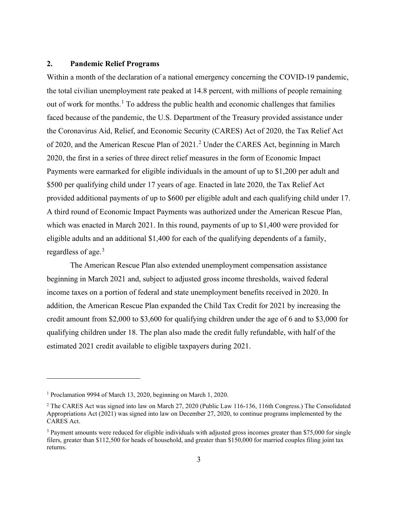#### **2. Pandemic Relief Programs**

Within a month of the declaration of a national emergency concerning the COVID-19 pandemic, the total civilian unemployment rate peaked at 14.8 percent, with millions of people remaining out of work for months.<sup>[1](#page-3-0)</sup> To address the public health and economic challenges that families faced because of the pandemic, the U.S. Department of the Treasury provided assistance under the Coronavirus Aid, Relief, and Economic Security (CARES) Act of 2020, the Tax Relief Act of [2](#page-3-1)020, and the American Rescue Plan of 2021.<sup>2</sup> Under the CARES Act, beginning in March 2020, the first in a series of three direct relief measures in the form of Economic Impact Payments were earmarked for eligible individuals in the amount of up to \$1,200 per adult and \$500 per qualifying child under 17 years of age. Enacted in late 2020, the Tax Relief Act provided additional payments of up to \$600 per eligible adult and each qualifying child under 17. A third round of Economic Impact Payments was authorized under the American Rescue Plan, which was enacted in March 2021. In this round, payments of up to \$1,400 were provided for eligible adults and an additional \$1,400 for each of the qualifying dependents of a family, regardless of age.<sup>[3](#page-3-2)</sup>

The American Rescue Plan also extended unemployment compensation assistance beginning in March 2021 and, subject to adjusted gross income thresholds, waived federal income taxes on a portion of federal and state unemployment benefits received in 2020. In addition, the American Rescue Plan expanded the Child Tax Credit for 2021 by increasing the credit amount from \$2,000 to \$3,600 for qualifying children under the age of 6 and to \$3,000 for qualifying children under 18. The plan also made the credit fully refundable, with half of the estimated 2021 credit available to eligible taxpayers during 2021.

<span id="page-3-0"></span><sup>1</sup> Proclamation 9994 of March 13, 2020, beginning on March 1, 2020.

<span id="page-3-1"></span><sup>&</sup>lt;sup>2</sup> The CARES Act was signed into law on March 27, 2020 (Public Law 116-136, 116th Congress.) The Consolidated Appropriations Act (2021) was signed into law on December 27, 2020, to continue programs implemented by the CARES Act.

<span id="page-3-2"></span><sup>&</sup>lt;sup>3</sup> Payment amounts were reduced for eligible individuals with adjusted gross incomes greater than \$75,000 for single filers, greater than \$112,500 for heads of household, and greater than \$150,000 for married couples filing joint tax returns.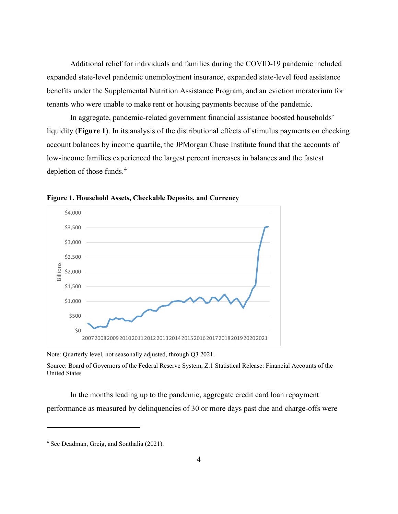Additional relief for individuals and families during the COVID-19 pandemic included expanded state-level pandemic unemployment insurance, expanded state-level food assistance benefits under the Supplemental Nutrition Assistance Program, and an eviction moratorium for tenants who were unable to make rent or housing payments because of the pandemic.

In aggregate, pandemic-related government financial assistance boosted households' liquidity (**Figure 1**). In its analysis of the distributional effects of stimulus payments on checking account balances by income quartile, the JPMorgan Chase Institute found that the accounts of low-income families experienced the largest percent increases in balances and the fastest depletion of those funds.<sup>[4](#page-4-0)</sup>



**Figure 1. Household Assets, Checkable Deposits, and Currency**

Note: Quarterly level, not seasonally adjusted, through Q3 2021.

Source: Board of Governors of the Federal Reserve System, Z.1 Statistical Release: Financial Accounts of the United States

In the months leading up to the pandemic, aggregate credit card loan repayment performance as measured by delinquencies of 30 or more days past due and charge-offs were

<span id="page-4-0"></span><sup>4</sup> See Deadman, Greig, and Sonthalia (2021).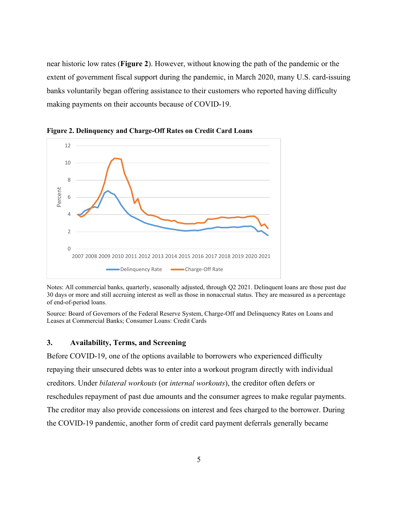near historic low rates (**Figure 2**). However, without knowing the path of the pandemic or the extent of government fiscal support during the pandemic, in March 2020, many U.S. card-issuing banks voluntarily began offering assistance to their customers who reported having difficulty making payments on their accounts because of COVID-19.



**Figure 2. Delinquency and Charge-Off Rates on Credit Card Loans**

Notes: All commercial banks, quarterly, seasonally adjusted, through Q2 2021. Delinquent loans are those past due 30 days or more and still accruing interest as well as those in nonaccrual status. They are measured as a percentage of end-of-period loans.

Source: Board of Governors of the Federal Reserve System, Charge-Off and Delinquency Rates on Loans and Leases at Commercial Banks; Consumer Loans: Credit Cards

#### **3. Availability, Terms, and Screening**

Before COVID-19, one of the options available to borrowers who experienced difficulty repaying their unsecured debts was to enter into a workout program directly with individual creditors. Under *bilateral workouts* (or *internal workouts*), the creditor often defers or reschedules repayment of past due amounts and the consumer agrees to make regular payments. The creditor may also provide concessions on interest and fees charged to the borrower. During the COVID-19 pandemic, another form of credit card payment deferrals generally became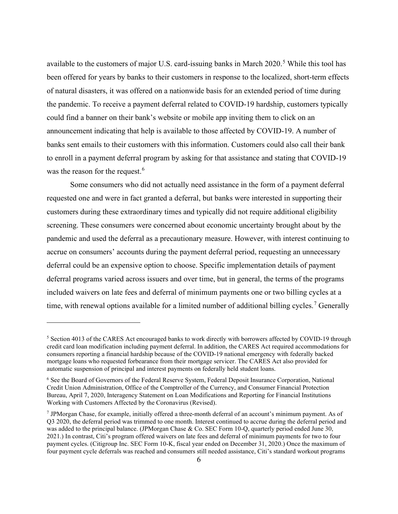available to the customers of major U.S. card-issuing banks in March  $2020$ .<sup>[5](#page-6-0)</sup> While this tool has been offered for years by banks to their customers in response to the localized, short-term effects of natural disasters, it was offered on a nationwide basis for an extended period of time during the pandemic. To receive a payment deferral related to COVID-19 hardship, customers typically could find a banner on their bank's website or mobile app inviting them to click on an announcement indicating that help is available to those affected by COVID-19. A number of banks sent emails to their customers with this information. Customers could also call their bank to enroll in a payment deferral program by asking for that assistance and stating that COVID-19 was the reason for the request.<sup>[6](#page-6-1)</sup>

Some consumers who did not actually need assistance in the form of a payment deferral requested one and were in fact granted a deferral, but banks were interested in supporting their customers during these extraordinary times and typically did not require additional eligibility screening. These consumers were concerned about economic uncertainty brought about by the pandemic and used the deferral as a precautionary measure. However, with interest continuing to accrue on consumers' accounts during the payment deferral period, requesting an unnecessary deferral could be an expensive option to choose. Specific implementation details of payment deferral programs varied across issuers and over time, but in general, the terms of the programs included waivers on late fees and deferral of minimum payments one or two billing cycles at a time, with renewal options available for a limited number of additional billing cycles.<sup>[7](#page-6-2)</sup> Generally

<span id="page-6-0"></span><sup>&</sup>lt;sup>5</sup> Section 4013 of the CARES Act encouraged banks to work directly with borrowers affected by COVID-19 through credit card loan modification including payment deferral. In addition, the CARES Act required accommodations for consumers reporting a financial hardship because of the COVID-19 national emergency with federally backed mortgage loans who requested forbearance from their mortgage servicer. The CARES Act also provided for automatic suspension of principal and interest payments on federally held student loans.

<span id="page-6-1"></span><sup>6</sup> See the Board of Governors of the Federal Reserve System, Federal Deposit Insurance Corporation, National Credit Union Administration, Office of the Comptroller of the Currency, and Consumer Financial Protection Bureau, April 7, 2020, Interagency Statement on Loan Modifications and Reporting for Financial Institutions Working with Customers Affected by the Coronavirus (Revised).

<span id="page-6-2"></span><sup>7</sup> JPMorgan Chase, for example, initially offered a three-month deferral of an account's minimum payment. As of Q3 2020, the deferral period was trimmed to one month. Interest continued to accrue during the deferral period and was added to the principal balance. (JPMorgan Chase & Co. SEC Form 10-Q, quarterly period ended June 30, 2021.) In contrast, Citi's program offered waivers on late fees and deferral of minimum payments for two to four payment cycles. (Citigroup Inc. SEC Form 10-K, fiscal year ended on December 31, 2020.) Once the maximum of four payment cycle deferrals was reached and consumers still needed assistance, Citi's standard workout programs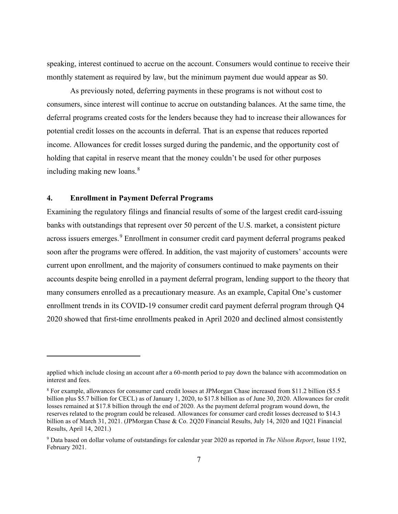speaking, interest continued to accrue on the account. Consumers would continue to receive their monthly statement as required by law, but the minimum payment due would appear as \$0.

As previously noted, deferring payments in these programs is not without cost to consumers, since interest will continue to accrue on outstanding balances. At the same time, the deferral programs created costs for the lenders because they had to increase their allowances for potential credit losses on the accounts in deferral. That is an expense that reduces reported income. Allowances for credit losses surged during the pandemic, and the opportunity cost of holding that capital in reserve meant that the money couldn't be used for other purposes including making new loans. $8<sup>8</sup>$  $8<sup>8</sup>$ 

#### **4. Enrollment in Payment Deferral Programs**

Examining the regulatory filings and financial results of some of the largest credit card-issuing banks with outstandings that represent over 50 percent of the U.S. market, a consistent picture across issuers emerges.<sup>[9](#page-7-1)</sup> Enrollment in consumer credit card payment deferral programs peaked soon after the programs were offered. In addition, the vast majority of customers' accounts were current upon enrollment, and the majority of consumers continued to make payments on their accounts despite being enrolled in a payment deferral program, lending support to the theory that many consumers enrolled as a precautionary measure. As an example, Capital One's customer enrollment trends in its COVID-19 consumer credit card payment deferral program through Q4 2020 showed that first-time enrollments peaked in April 2020 and declined almost consistently

applied which include closing an account after a 60-month period to pay down the balance with accommodation on interest and fees.

<span id="page-7-0"></span><sup>8</sup> For example, allowances for consumer card credit losses at JPMorgan Chase increased from \$11.2 billion (\$5.5 billion plus \$5.7 billion for CECL) as of January 1, 2020, to \$17.8 billion as of June 30, 2020. Allowances for credit losses remained at \$17.8 billion through the end of 2020. As the payment deferral program wound down, the reserves related to the program could be released. Allowances for consumer card credit losses decreased to \$14.3 billion as of March 31, 2021. (JPMorgan Chase & Co. 2Q20 Financial Results, July 14, 2020 and 1Q21 Financial Results, April 14, 2021.)

<span id="page-7-1"></span><sup>9</sup> Data based on dollar volume of outstandings for calendar year 2020 as reported in *The Nilson Report*, Issue 1192, February 2021.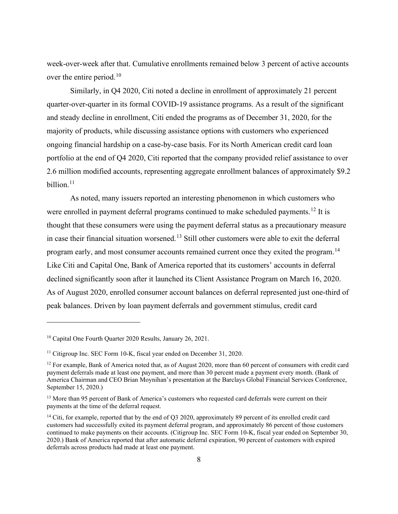week-over-week after that. Cumulative enrollments remained below 3 percent of active accounts over the entire period.<sup>10</sup>

Similarly, in Q4 2020, Citi noted a decline in enrollment of approximately 21 percent quarter-over-quarter in its formal COVID-19 assistance programs. As a result of the significant and steady decline in enrollment, Citi ended the programs as of December 31, 2020, for the majority of products, while discussing assistance options with customers who experienced ongoing financial hardship on a case-by-case basis. For its North American credit card loan portfolio at the end of Q4 2020, Citi reported that the company provided relief assistance to over 2.6 million modified accounts, representing aggregate enrollment balances of approximately \$9.2 billion. $11$ 

As noted, many issuers reported an interesting phenomenon in which customers who were enrolled in payment deferral programs continued to make scheduled payments.<sup>[12](#page-8-2)</sup> It is thought that these consumers were using the payment deferral status as a precautionary measure in case their financial situation worsened.<sup>[13](#page-8-3)</sup> Still other customers were able to exit the deferral program early, and most consumer accounts remained current once they exited the program.<sup>[14](#page-8-4)</sup> Like Citi and Capital One, Bank of America reported that its customers' accounts in deferral declined significantly soon after it launched its Client Assistance Program on March 16, 2020. As of August 2020, enrolled consumer account balances on deferral represented just one-third of peak balances. Driven by loan payment deferrals and government stimulus, credit card

<span id="page-8-0"></span><sup>&</sup>lt;sup>10</sup> Capital One Fourth Quarter 2020 Results, January 26, 2021.

<span id="page-8-1"></span><sup>&</sup>lt;sup>11</sup> Citigroup Inc. SEC Form 10-K, fiscal year ended on December 31, 2020.

<span id="page-8-2"></span> $12$  For example, Bank of America noted that, as of August 2020, more than 60 percent of consumers with credit card payment deferrals made at least one payment, and more than 30 percent made a payment every month. (Bank of America Chairman and CEO Brian Moynihan's presentation at the Barclays Global Financial Services Conference, September 15, 2020.)

<span id="page-8-3"></span><sup>&</sup>lt;sup>13</sup> More than 95 percent of Bank of America's customers who requested card deferrals were current on their payments at the time of the deferral request.

<span id="page-8-4"></span><sup>&</sup>lt;sup>14</sup> Citi, for example, reported that by the end of Q3 2020, approximately 89 percent of its enrolled credit card customers had successfully exited its payment deferral program, and approximately 86 percent of those customers continued to make payments on their accounts. (Citigroup Inc. SEC Form 10-K, fiscal year ended on September 30, 2020.) Bank of America reported that after automatic deferral expiration, 90 percent of customers with expired deferrals across products had made at least one payment.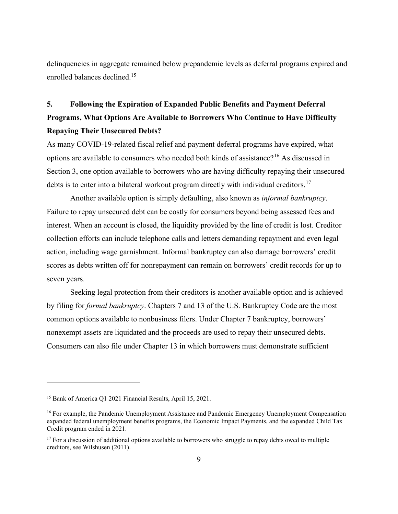delinquencies in aggregate remained below prepandemic levels as deferral programs expired and enrolled balances declined. [15](#page-9-0)

### **5. Following the Expiration of Expanded Public Benefits and Payment Deferral Programs, What Options Are Available to Borrowers Who Continue to Have Difficulty Repaying Their Unsecured Debts?**

As many COVID-19-related fiscal relief and payment deferral programs have expired, what options are available to consumers who needed both kinds of assistance?[16](#page-9-1) As discussed in Section 3, one option available to borrowers who are having difficulty repaying their unsecured debts is to enter into a bilateral workout program directly with individual creditors.<sup>[17](#page-9-2)</sup>

Another available option is simply defaulting, also known as *informal bankruptcy*. Failure to repay unsecured debt can be costly for consumers beyond being assessed fees and interest. When an account is closed, the liquidity provided by the line of credit is lost. Creditor collection efforts can include telephone calls and letters demanding repayment and even legal action, including wage garnishment. Informal bankruptcy can also damage borrowers' credit scores as debts written off for nonrepayment can remain on borrowers' credit records for up to seven years.

Seeking legal protection from their creditors is another available option and is achieved by filing for *formal bankruptcy*. Chapters 7 and 13 of the U.S. Bankruptcy Code are the most common options available to nonbusiness filers. Under Chapter 7 bankruptcy, borrowers' nonexempt assets are liquidated and the proceeds are used to repay their unsecured debts. Consumers can also file under Chapter 13 in which borrowers must demonstrate sufficient

<span id="page-9-0"></span><sup>&</sup>lt;sup>15</sup> Bank of America Q1 2021 Financial Results, April 15, 2021.

<span id="page-9-1"></span><sup>&</sup>lt;sup>16</sup> For example, the Pandemic Unemployment Assistance and Pandemic Emergency Unemployment Compensation expanded federal unemployment benefits programs, the Economic Impact Payments, and the expanded Child Tax Credit program ended in 2021.

<span id="page-9-2"></span> $17$  For a discussion of additional options available to borrowers who struggle to repay debts owed to multiple creditors, see Wilshusen (2011).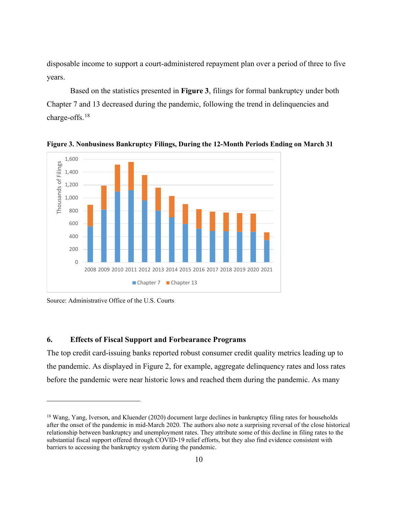disposable income to support a court-administered repayment plan over a period of three to five years.

Based on the statistics presented in **Figure 3**, filings for formal bankruptcy under both Chapter 7 and 13 decreased during the pandemic, following the trend in delinquencies and charge-offs. [18](#page-10-0)



**Figure 3. Nonbusiness Bankruptcy Filings, During the 12-Month Periods Ending on March 31**

Source: Administrative Office of the U.S. Courts

#### **6. Effects of Fiscal Support and Forbearance Programs**

The top credit card-issuing banks reported robust consumer credit quality metrics leading up to the pandemic. As displayed in Figure 2, for example, aggregate delinquency rates and loss rates before the pandemic were near historic lows and reached them during the pandemic. As many

<span id="page-10-0"></span><sup>&</sup>lt;sup>18</sup> Wang, Yang, Iverson, and Kluender (2020) document large declines in bankruptcy filing rates for households after the onset of the pandemic in mid-March 2020. The authors also note a surprising reversal of the close historical relationship between bankruptcy and unemployment rates. They attribute some of this decline in filing rates to the substantial fiscal support offered through COVID-19 relief efforts, but they also find evidence consistent with barriers to accessing the bankruptcy system during the pandemic.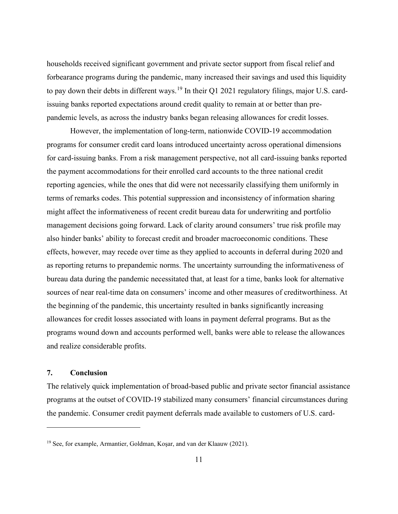households received significant government and private sector support from fiscal relief and forbearance programs during the pandemic, many increased their savings and used this liquidity to pay down their debts in different ways.<sup>[19](#page-11-0)</sup> In their Q1 2021 regulatory filings, major U.S. cardissuing banks reported expectations around credit quality to remain at or better than prepandemic levels, as across the industry banks began releasing allowances for credit losses.

However, the implementation of long-term, nationwide COVID-19 accommodation programs for consumer credit card loans introduced uncertainty across operational dimensions for card-issuing banks. From a risk management perspective, not all card-issuing banks reported the payment accommodations for their enrolled card accounts to the three national credit reporting agencies, while the ones that did were not necessarily classifying them uniformly in terms of remarks codes. This potential suppression and inconsistency of information sharing might affect the informativeness of recent credit bureau data for underwriting and portfolio management decisions going forward. Lack of clarity around consumers' true risk profile may also hinder banks' ability to forecast credit and broader macroeconomic conditions. These effects, however, may recede over time as they applied to accounts in deferral during 2020 and as reporting returns to prepandemic norms. The uncertainty surrounding the informativeness of bureau data during the pandemic necessitated that, at least for a time, banks look for alternative sources of near real-time data on consumers' income and other measures of creditworthiness. At the beginning of the pandemic, this uncertainty resulted in banks significantly increasing allowances for credit losses associated with loans in payment deferral programs. But as the programs wound down and accounts performed well, banks were able to release the allowances and realize considerable profits.

#### **7. Conclusion**

The relatively quick implementation of broad-based public and private sector financial assistance programs at the outset of COVID-19 stabilized many consumers' financial circumstances during the pandemic. Consumer credit payment deferrals made available to customers of U.S. card-

<span id="page-11-0"></span><sup>19</sup> See, for example, Armantier, Goldman, Koşar, and van der Klaauw (2021).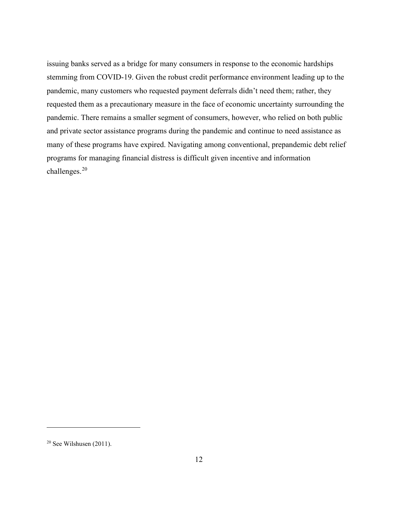issuing banks served as a bridge for many consumers in response to the economic hardships stemming from COVID-19. Given the robust credit performance environment leading up to the pandemic, many customers who requested payment deferrals didn't need them; rather, they requested them as a precautionary measure in the face of economic uncertainty surrounding the pandemic. There remains a smaller segment of consumers, however, who relied on both public and private sector assistance programs during the pandemic and continue to need assistance as many of these programs have expired. Navigating among conventional, prepandemic debt relief programs for managing financial distress is difficult given incentive and information challenges. [20](#page-12-0)

<span id="page-12-0"></span> $20$  See Wilshusen (2011).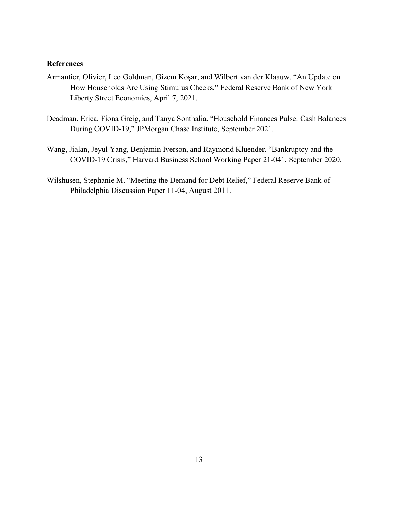#### **References**

- Armantier, Olivier, Leo Goldman, Gizem Koşar, and Wilbert van der Klaauw. "An Update on How Households Are Using Stimulus Checks," Federal Reserve Bank of New York Liberty Street Economics, April 7, 2021.
- Deadman, Erica, Fiona Greig, and Tanya Sonthalia. "Household Finances Pulse: Cash Balances During COVID-19," JPMorgan Chase Institute, September 2021.
- Wang, Jialan, Jeyul Yang, Benjamin Iverson, and Raymond Kluender. "Bankruptcy and the COVID-19 Crisis," Harvard Business School Working Paper 21-041, September 2020.
- Wilshusen, Stephanie M. "Meeting the Demand for Debt Relief," Federal Reserve Bank of Philadelphia Discussion Paper 11-04, August 2011.